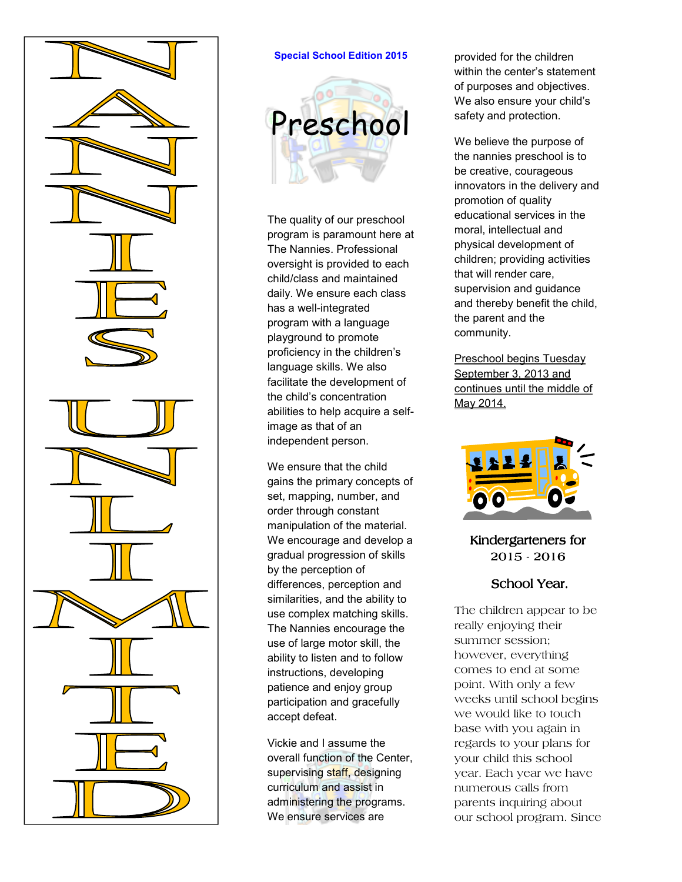

#### **Special School Edition 2015**



The quality of our preschool program is paramount here at The Nannies. Professional oversight is provided to each child/class and maintained daily. We ensure each class has a well-integrated program with a language playground to promote proficiency in the children's language skills. We also facilitate the development of the child's concentration abilities to help acquire a selfimage as that of an independent person.

We ensure that the child gains the primary concepts of set, mapping, number, and order through constant manipulation of the material. We encourage and develop a gradual progression of skills by the perception of differences, perception and similarities, and the ability to use complex matching skills. The Nannies encourage the use of large motor skill, the ability to listen and to follow instructions, developing patience and enjoy group participation and gracefully accept defeat.

Vickie and I assume the overall function of the Center, supervising staff, designing curriculum and assist in administering the programs. We ensure services are

provided for the children within the center's statement of purposes and objectives. We also ensure your child's safety and protection.

We believe the purpose of the nannies preschool is to be creative, courageous innovators in the delivery and promotion of quality educational services in the moral, intellectual and physical development of children; providing activities that will render care, supervision and guidance and thereby benefit the child, the parent and the community.

Preschool begins Tuesday September 3, 2013 and continues until the middle of May 2014.



## Kindergarteners for 2015-2016

### School Year.

The children appear to be really enjoying their summer session; however, everything comes to end at some point. With only a few weeks until school begins we would like to touch base with you again in regards to your plans for your child this school year. Each year we have numerous calls from parents inquiring about our school program. Since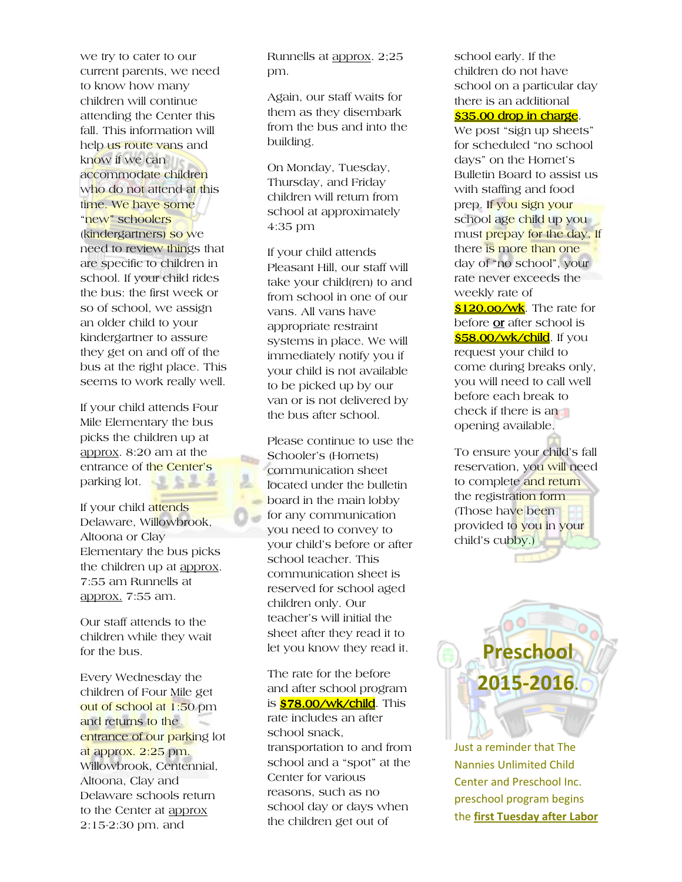we try to cater to our current parents, we need to know how many children will continue attending the Center this fall. This information will help us route vans and know if we can accommodate children who do not attend at this time. We have some "new" schoolers (kindergartners) so we need to review things that are specific to children in school. If your child rides the bus: the first week or so of school, we assign an older child to your kindergartner to assure they get on and off of the bus at the right place. This seems to work really well.

If your child attends Four Mile Elementary the bus picks the children up at approx. 8:20 am at the entrance of the Center's parking lot.

bs:

If your child attends Delaware, Willowbrook, Altoona or Clay Elementary the bus picks the children up at approx. 7:55 am Runnells at approx. 7:55 am.

Our staff attends to the children while they wait for the bus.

Every Wednesday the children of Four Mile get out of school at 1:50 pm and returns to the entrance of our parking lot at approx. 2:25 pm. Willowbrook, Centennial, Altoona, Clay and Delaware schools return to the Center at approx 2:15-2:30 pm. and

Runnells at approx. 2;25 pm.

Again, our staff waits for them as they disembark from the bus and into the building.

On Monday, Tuesday, Thursday, and Friday children will return from school at approximately 4:35 pm

If your child attends Pleasant Hill, our staff will take your child(ren) to and from school in one of our vans. All vans have appropriate restraint systems in place. We will immediately notify you if your child is not available to be picked up by our van or is not delivered by the bus after school.

Please continue to use the Schooler's (Hornets) communication sheet located under the bulletin board in the main lobby for any communication you need to convey to your child's before or after school teacher. This communication sheet is reserved for school aged children only. Our teacher's will initial the sheet after they read it to let you know they read it.

The rate for the before and after school program is <mark>\$78.00/wk/child</mark>. This rate includes an after school snack, transportation to and from school and a "spot" at the Center for various reasons, such as no school day or days when the children get out of

school early. If the children do not have school on a particular day there is an additional \$35.00 drop in charge.

We post "sign up sheets" for scheduled "no school days" on the Hornet's Bulletin Board to assist us with staffing and food prep. If you sign your school age child up you must prepay for the day. If there is more than one day of "no school", your rate never exceeds the weekly rate of

**\$120.oo/wk**. The rate for before **or** after school is \$58.00/wk/child . If you request your child to come during breaks only, you will need to call well before each break to check if there is an opening available.

To ensure your child's fall reservation, you will need to complete and return the registration form (Those have been provided to you in your child's cubby.)



**Preschool** 

**2015-2016.**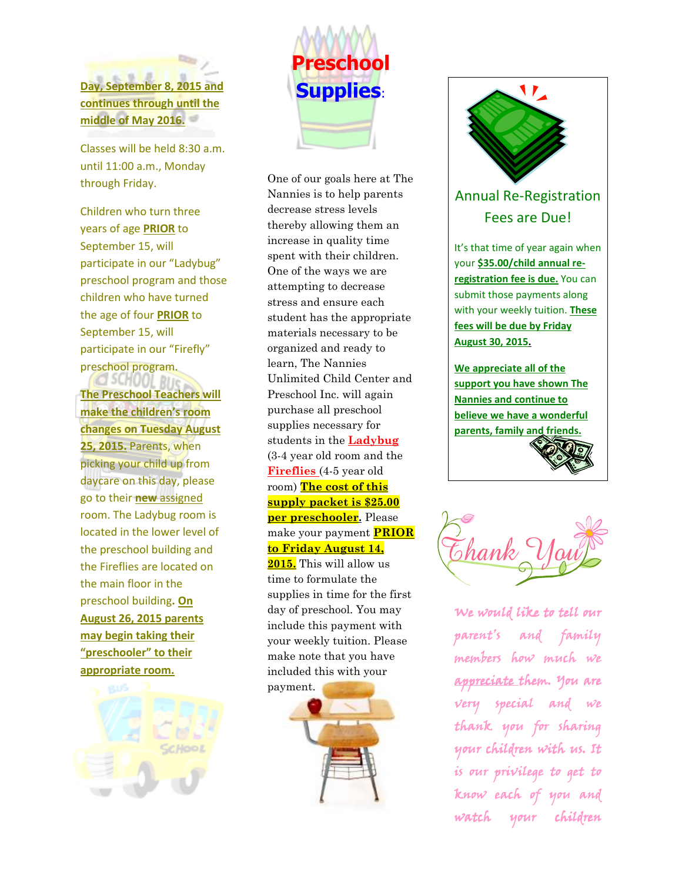

**continues through until the middle of May 2016.** 

Classes will be held 8:30 a.m. until 11:00 a.m., Monday through Friday.

Children who turn three years of age **PRIOR** to September 15, will participate in our "Ladybug" preschool program and those children who have turned the age of four **PRIOR** to September 15, will participate in our "Firefly" preschool program.

**The Preschool Teachers will make the children's room changes on Tuesday August 25, 2015.** Parents, when picking your child up from daycare on this day, please go to their **new** assigned room. The Ladybug room is located in the lower level of the preschool building and the Fireflies are located on the main floor in the preschool building**. On August 26, 2015 parents may begin taking their "preschooler" to their appropriate room.**





One of our goals here at The Nannies is to help parents decrease stress levels thereby allowing them an increase in quality time spent with their children. One of the ways we are attempting to decrease stress and ensure each student has the appropriate materials necessary to be organized and ready to learn, The Nannies Unlimited Child Center and Preschool Inc. will again purchase all preschool supplies necessary for students in the **Ladybug** (3-4 year old room and the **Fireflies** (4-5 year old room) **The cost of this supply packet is \$25.00 per preschooler.** Please make your payment **PRIOR to Friday August 14, 2015.** This will allow us time to formulate the supplies in time for the first day of preschool. You may include this payment with your weekly tuition. Please make note that you have included this with your payment.





# Annual Re-Registration Fees are Due!

It's that time of year again when your **\$35.00/child annual reregistration fee is due.** You can submit those payments along with your weekly tuition. **These fees will be due by Friday August 30, 2015.** 

**We appreciate all of the support you have shown The Nannies and continue to believe we have a wonderful parents, family and friends.** 



We would like to tell our parent's and family members how much we appreciate them. You are very special and we thank you for sharing your children with us. It is our privilege to get to know each of you and watch your children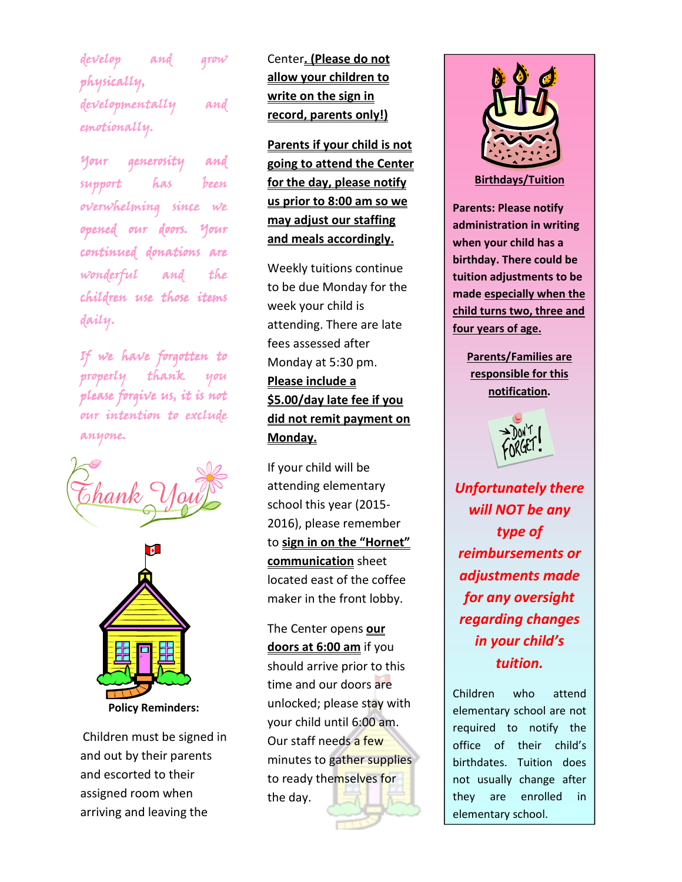develop and grow physically, developmentally and emotionally.

Your generosity and support has been  $over whiching since we$ opened our doors. Your continued donations are wonderful and the children use those items daily.

If we have forgotten to properly thank you please forgive us, it is not our intention to exclude anyone.





Children must be signed in and out by their parents and escorted to their assigned room when arriving and leaving the

Center**. (Please do not allow your children to write on the sign in record, parents only!)** 

**Parents if your child is not going to attend the Center for the day, please notify us prior to 8:00 am so we may adjust our staffing and meals accordingly.** 

Weekly tuitions continue to be due Monday for the week your child is attending. There are late fees assessed after Monday at 5:30 pm. **Please include a \$5.00/day late fee if you did not remit payment on Monday.** 

If your child will be attending elementary school this year (2015- 2016), please remember to **sign in on the "Hornet" communication** sheet located east of the coffee maker in the front lobby.

The Center opens **our doors at 6:00 am** if you should arrive prior to this time and our doors are unlocked; please stay with your child until 6:00 am. Our staff needs a few minutes to gather supplies to ready themselves for the day.



**Birthdays/Tuition** 

**Parents: Please notify administration in writing when your child has a birthday. There could be tuition adjustments to be made especially when the child turns two, three and four years of age.** 

> **Parents/Families are responsible for this notification.**



*Unfortunately there will NOT be any type of reimbursements or adjustments made for any oversight regarding changes in your child's tuition.* 

Children who attend elementary school are not required to notify the office of their child's birthdates. Tuition does not usually change after they are enrolled in elementary school.